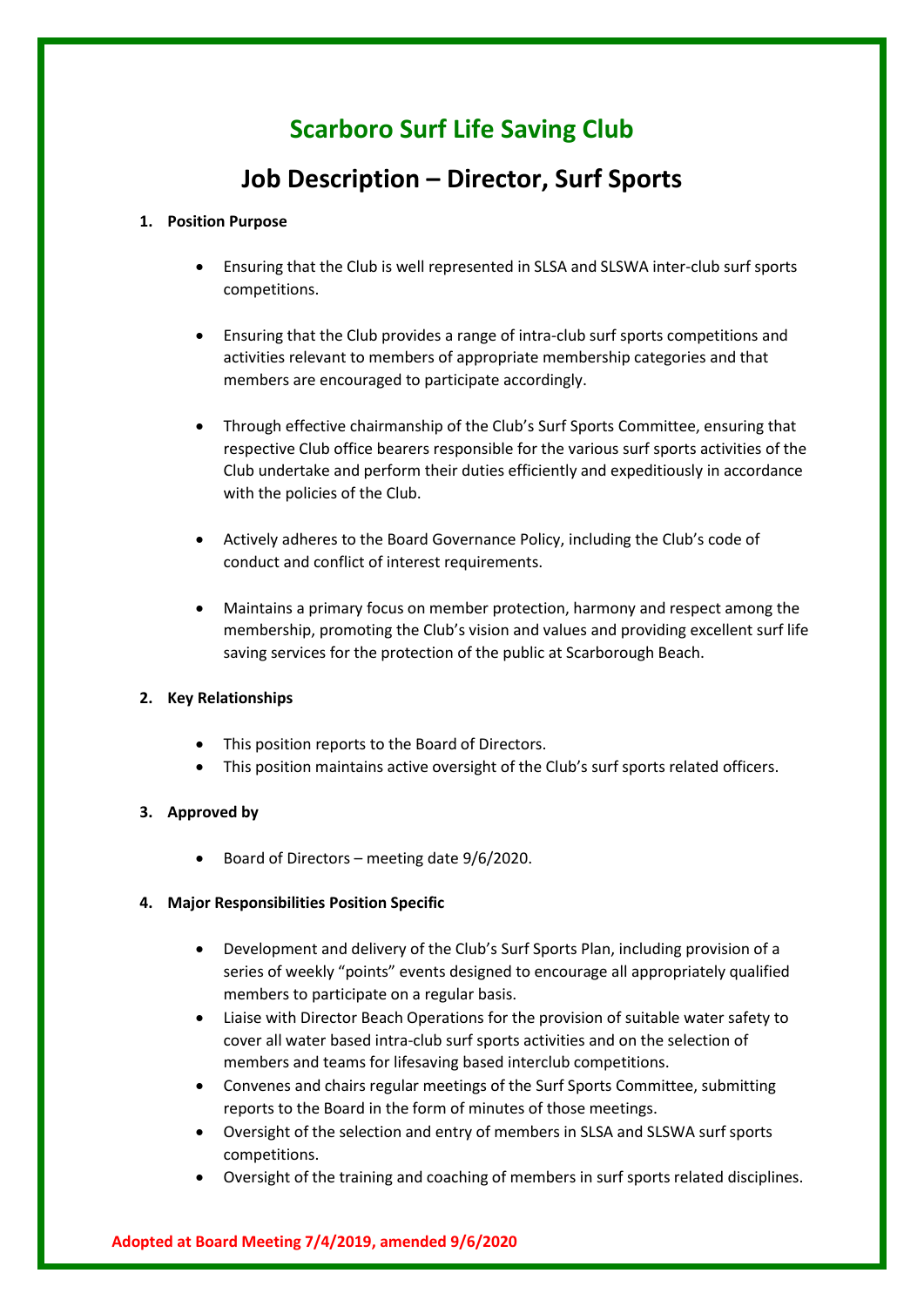# **Scarboro Surf Life Saving Club**

# **Job Description – Director, Surf Sports**

#### **1. Position Purpose**

- Ensuring that the Club is well represented in SLSA and SLSWA inter-club surf sports competitions.
- Ensuring that the Club provides a range of intra-club surf sports competitions and activities relevant to members of appropriate membership categories and that members are encouraged to participate accordingly.
- Through effective chairmanship of the Club's Surf Sports Committee, ensuring that respective Club office bearers responsible for the various surf sports activities of the Club undertake and perform their duties efficiently and expeditiously in accordance with the policies of the Club.
- Actively adheres to the Board Governance Policy, including the Club's code of conduct and conflict of interest requirements.
- Maintains a primary focus on member protection, harmony and respect among the membership, promoting the Club's vision and values and providing excellent surf life saving services for the protection of the public at Scarborough Beach.

# **2. Key Relationships**

- This position reports to the Board of Directors.
- This position maintains active oversight of the Club's surf sports related officers.

# **3. Approved by**

• Board of Directors – meeting date 9/6/2020.

#### **4. Major Responsibilities Position Specific**

- Development and delivery of the Club's Surf Sports Plan, including provision of a series of weekly "points" events designed to encourage all appropriately qualified members to participate on a regular basis.
- Liaise with Director Beach Operations for the provision of suitable water safety to cover all water based intra-club surf sports activities and on the selection of members and teams for lifesaving based interclub competitions.
- Convenes and chairs regular meetings of the Surf Sports Committee, submitting reports to the Board in the form of minutes of those meetings.
- Oversight of the selection and entry of members in SLSA and SLSWA surf sports competitions.
- Oversight of the training and coaching of members in surf sports related disciplines.

#### **Adopted at Board Meeting 7/4/2019, amended 9/6/2020**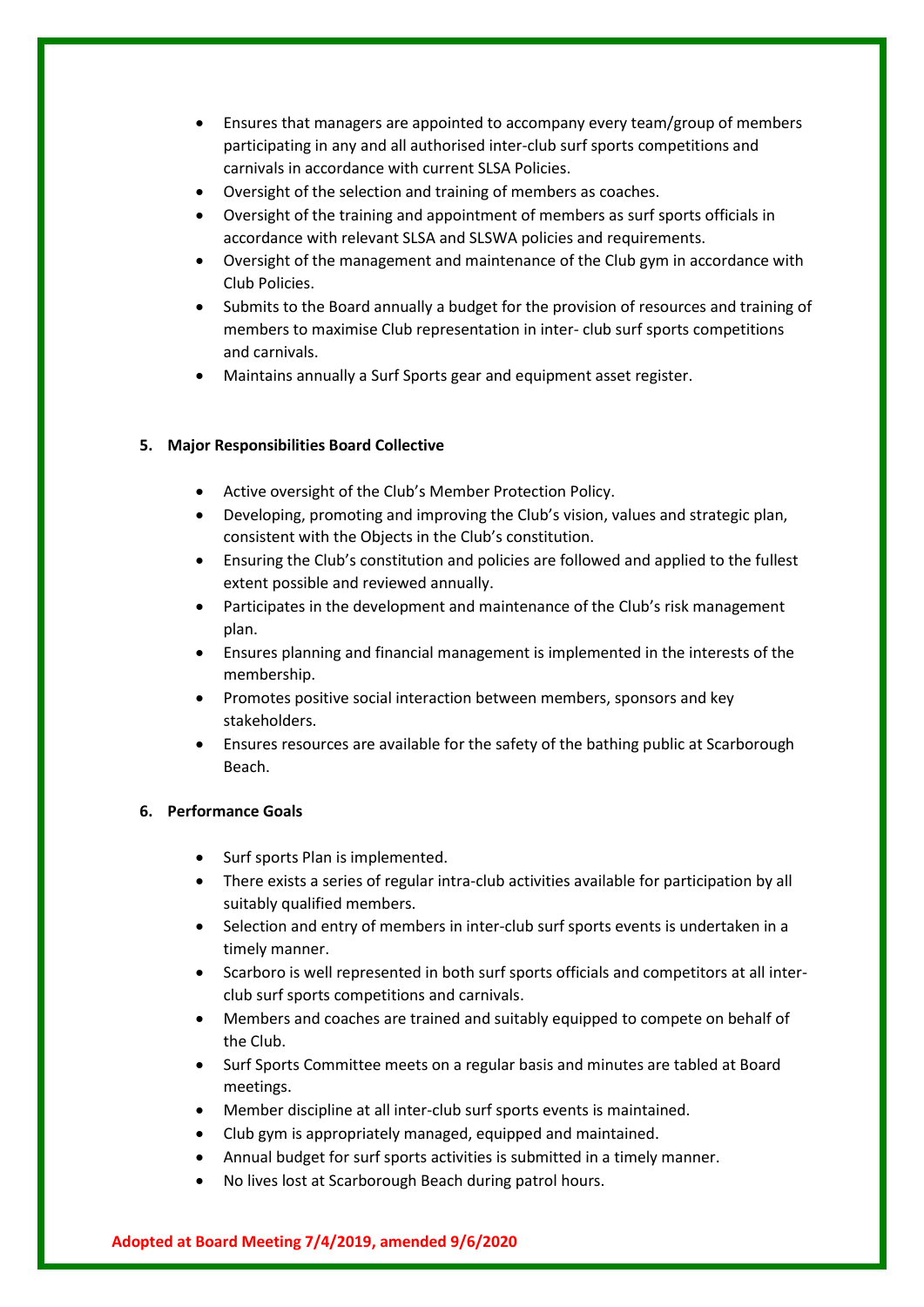- Ensures that managers are appointed to accompany every team/group of members participating in any and all authorised inter-club surf sports competitions and carnivals in accordance with current SLSA Policies.
- Oversight of the selection and training of members as coaches.
- Oversight of the training and appointment of members as surf sports officials in accordance with relevant SLSA and SLSWA policies and requirements.
- Oversight of the management and maintenance of the Club gym in accordance with Club Policies.
- Submits to the Board annually a budget for the provision of resources and training of members to maximise Club representation in inter- club surf sports competitions and carnivals.
- Maintains annually a Surf Sports gear and equipment asset register.

#### **5. Major Responsibilities Board Collective**

- Active oversight of the Club's Member Protection Policy.
- Developing, promoting and improving the Club's vision, values and strategic plan, consistent with the Objects in the Club's constitution.
- Ensuring the Club's constitution and policies are followed and applied to the fullest extent possible and reviewed annually.
- Participates in the development and maintenance of the Club's risk management plan.
- Ensures planning and financial management is implemented in the interests of the membership.
- Promotes positive social interaction between members, sponsors and key stakeholders.
- Ensures resources are available for the safety of the bathing public at Scarborough Beach.

# **6. Performance Goals**

- Surf sports Plan is implemented.
- There exists a series of regular intra-club activities available for participation by all suitably qualified members.
- Selection and entry of members in inter-club surf sports events is undertaken in a timely manner.
- Scarboro is well represented in both surf sports officials and competitors at all interclub surf sports competitions and carnivals.
- Members and coaches are trained and suitably equipped to compete on behalf of the Club.
- Surf Sports Committee meets on a regular basis and minutes are tabled at Board meetings.
- Member discipline at all inter-club surf sports events is maintained.
- Club gym is appropriately managed, equipped and maintained.
- Annual budget for surf sports activities is submitted in a timely manner.
- No lives lost at Scarborough Beach during patrol hours.

#### **Adopted at Board Meeting 7/4/2019, amended 9/6/2020**